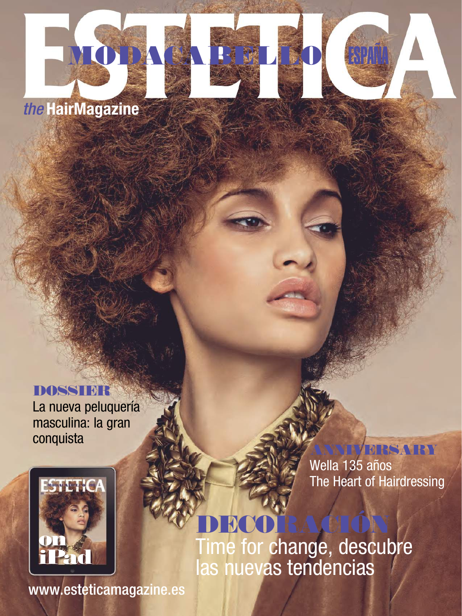## *the* HairMagazine

MODACA BELLE

#### **DOSSIER**

La nueva peluquería masculina: la gran conquista ANNIVERSARY



Wella 135 años The Heart of Hairdressing

# DECORACIÓN

Time for change, descubre las nuevas tendencias

www.esteticamagazine.es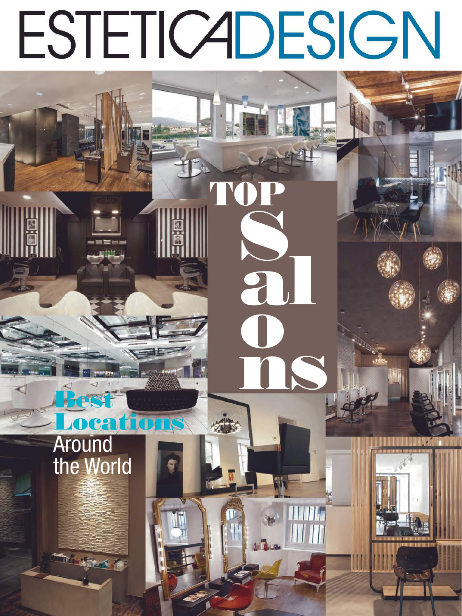# **ESTETICADESIGN**

2

## **Around** the World

**Ard Wilde** 

ocal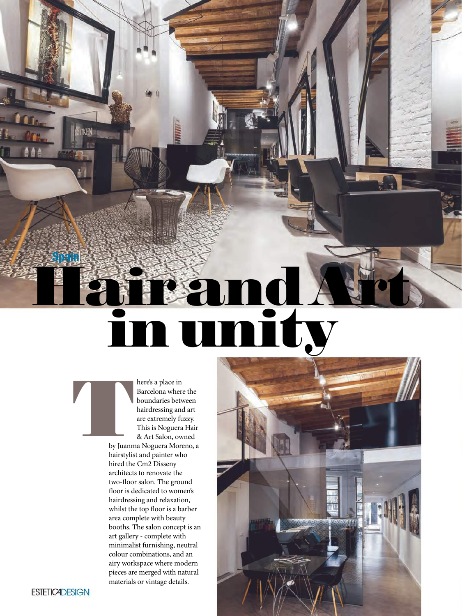# Hair and Art in unity

here's a place in Barcelona where the boundaries between hairdressing and art are extremely fuzzy. This is Noguera Hair & Art Salon, owned by Juanm

by Juanma Noguera Moreno, a hairstylist and painter who hired the Cm<sub>2</sub> Disseny architects to renovate the two-floor salon. The ground floor is dedicated to women's hairdressing and relaxation, whilst the top floor is a barber area complete with beauty booths. The salon concept is an art gallery - complete with minimalist furnishing, neutral colour combinations, and an airy workspace where modern pieces are merged with natural materials or vintage details.



Spain